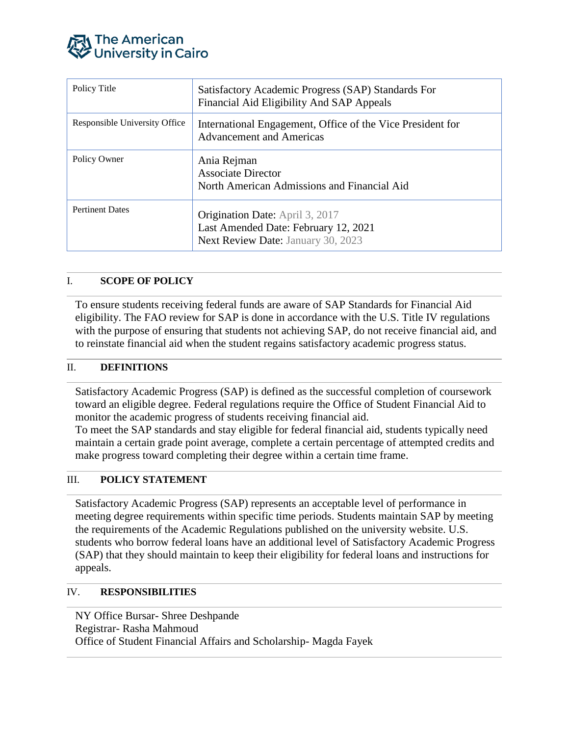

| Policy Title                  | Satisfactory Academic Progress (SAP) Standards For<br>Financial Aid Eligibility And SAP Appeals                      |
|-------------------------------|----------------------------------------------------------------------------------------------------------------------|
| Responsible University Office | International Engagement, Office of the Vice President for<br><b>Advancement and Americas</b>                        |
| Policy Owner                  | Ania Rejman<br><b>Associate Director</b><br>North American Admissions and Financial Aid                              |
| <b>Pertinent Dates</b>        | <b>Origination Date:</b> April 3, 2017<br>Last Amended Date: February 12, 2021<br>Next Review Date: January 30, 2023 |

# I. **SCOPE OF POLICY**

To ensure students receiving federal funds are aware of SAP Standards for Financial Aid eligibility. The FAO review for SAP is done in accordance with the U.S. Title IV regulations with the purpose of ensuring that students not achieving SAP, do not receive financial aid, and to reinstate financial aid when the student regains satisfactory academic progress status.

### II. **DEFINITIONS**

Satisfactory Academic Progress (SAP) is defined as the successful completion of coursework toward an eligible degree. Federal regulations require the Office of Student Financial Aid to monitor the academic progress of students receiving financial aid.

To meet the SAP standards and stay eligible for federal financial aid, students typically need maintain a certain grade point average, complete a certain percentage of attempted credits and make progress toward completing their degree within a certain time frame.

#### III. **POLICY STATEMENT**

Satisfactory Academic Progress (SAP) represents an acceptable level of performance in meeting degree requirements within specific time periods. Students maintain SAP by meeting the requirements of the Academic Regulations published on the university website. U.S. students who borrow federal loans have an additional level of Satisfactory Academic Progress (SAP) that they should maintain to keep their eligibility for federal loans and instructions for appeals.

### IV. **RESPONSIBILITIES**

NY Office Bursar- Shree Deshpande Registrar- Rasha Mahmoud Office of Student Financial Affairs and Scholarship- Magda Fayek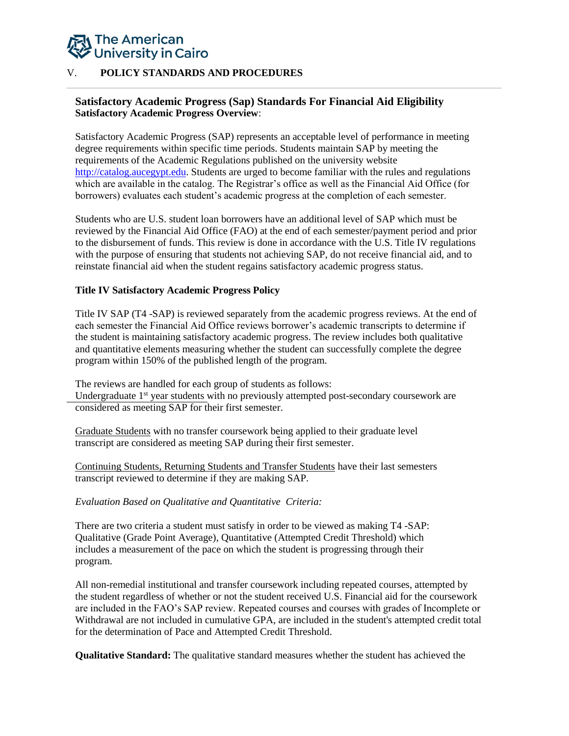# The American **University in Cairo**

## V. **POLICY STANDARDS AND PROCEDURES**

## **Satisfactory Academic Progress (Sap) Standards For Financial Aid Eligibility Satisfactory Academic Progress Overview**:

Satisfactory Academic Progress (SAP) represents an acceptable level of performance in meeting degree requirements within specific time periods. Students maintain SAP by meeting the requirements of the Academic Regulations published on the university website [http://catalog.aucegypt.edu.](http://catalog.aucegypt.edu/) Students are urged to become familiar with the rules and regulations which are available in the catalog. The Registrar's office as well as the Financial Aid Office (for borrowers) evaluates each student's academic progress at the completion of each semester.

Students who are U.S. student loan borrowers have an additional level of SAP which must be reviewed by the Financial Aid Office (FAO) at the end of each semester/payment period and prior to the disbursement of funds. This review is done in accordance with the U.S. Title IV regulations with the purpose of ensuring that students not achieving SAP, do not receive financial aid, and to reinstate financial aid when the student regains satisfactory academic progress status.

### **Title IV Satisfactory Academic Progress Policy**

Title IV SAP (T4 -SAP) is reviewed separately from the academic progress reviews. At the end of each semester the Financial Aid Office reviews borrower's academic transcripts to determine if the student is maintaining satisfactory academic progress. The review includes both qualitative and quantitative elements measuring whether the student can successfully complete the degree program within 150% of the published length of the program.

The reviews are handled for each group of students as follows:

Undergraduate 1<sup>st</sup> year students with no previously attempted post-secondary coursework are considered as meeting SAP for their first semester.

Graduate Students with no transfer coursework being applied to their graduate level transcript are considered as meeting SAP during their first semester.

Continuing Students, Returning Students and Transfer Students have their last semesters transcript reviewed to determine if they are making SAP.

### *Evaluation Based on Qualitative and Quantitative Criteria:*

There are two criteria a student must satisfy in order to be viewed as making T4 -SAP: Qualitative (Grade Point Average), Quantitative (Attempted Credit Threshold) which includes a measurement of the pace on which the student is progressing through their program.

All non-remedial institutional and transfer coursework including repeated courses, attempted by the student regardless of whether or not the student received U.S. Financial aid for the coursework are included in the FAO's SAP review. Repeated courses and courses with grades of Incomplete or Withdrawal are not included in cumulative GPA, are included in the student's attempted credit total for the determination of Pace and Attempted Credit Threshold.

**Qualitative Standard:** The qualitative standard measures whether the student has achieved the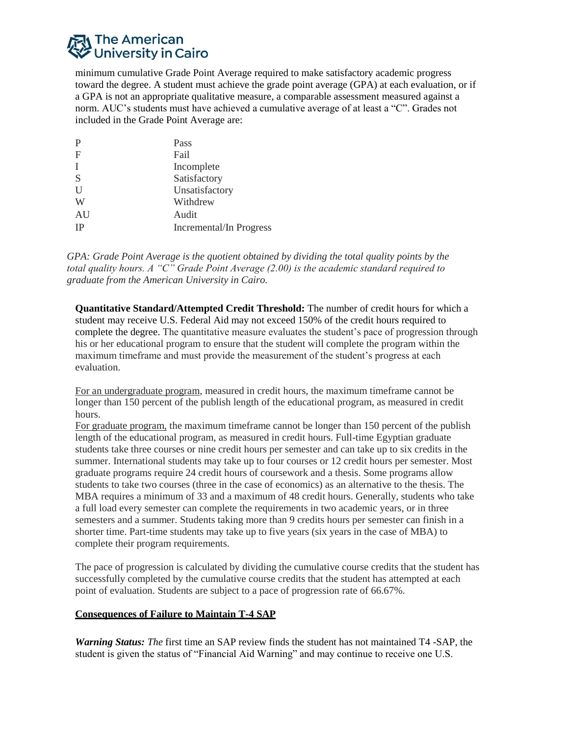# न्। The American<br>�� University in Cairo

minimum cumulative Grade Point Average required to make satisfactory academic progress toward the degree. A student must achieve the grade point average (GPA) at each evaluation, or if a GPA is not an appropriate qualitative measure, a comparable assessment measured against a norm. AUC's students must have achieved a cumulative average of at least a "C". Grades not included in the Grade Point Average are:

| P            | Pass                    |
|--------------|-------------------------|
| $\mathbf F$  | Fail                    |
| I            | Incomplete              |
| S            | Satisfactory            |
| $\mathbf{U}$ | Unsatisfactory          |
| W            | Withdrew                |
| AU           | Audit                   |
| <b>IP</b>    | Incremental/In Progress |

*GPA: Grade Point Average is the quotient obtained by dividing the total quality points by the total quality hours. A "C" Grade Point Average (2.00) is the academic standard required to graduate from the American University in Cairo.*

**Quantitative Standard/Attempted Credit Threshold:** The number of credit hours for which a student may receive U.S. Federal Aid may not exceed 150% of the credit hours required to complete the degree. The quantitative measure evaluates the student's pace of progression through his or her educational program to ensure that the student will complete the program within the maximum timeframe and must provide the measurement of the student's progress at each evaluation.

For an undergraduate program, measured in credit hours, the maximum timeframe cannot be longer than 150 percent of the publish length of the educational program, as measured in credit hours.

For graduate program, the maximum timeframe cannot be longer than 150 percent of the publish length of the educational program, as measured in credit hours. Full-time Egyptian graduate students take three courses or nine credit hours per semester and can take up to six credits in the summer. International students may take up to four courses or 12 credit hours per semester. Most graduate programs require 24 credit hours of coursework and a thesis. Some programs allow students to take two courses (three in the case of economics) as an alternative to the thesis. The MBA requires a minimum of 33 and a maximum of 48 credit hours. Generally, students who take a full load every semester can complete the requirements in two academic years, or in three semesters and a summer. Students taking more than 9 credits hours per semester can finish in a shorter time. Part-time students may take up to five years (six years in the case of MBA) to complete their program requirements.

The pace of progression is calculated by dividing the cumulative course credits that the student has successfully completed by the cumulative course credits that the student has attempted at each point of evaluation. Students are subject to a pace of progression rate of 66.67%.

# **Consequences of Failure to Maintain T-4 SAP**

*Warning Status: The* first time an SAP review finds the student has not maintained T4 -SAP, the student is given the status of "Financial Aid Warning" and may continue to receive one U.S.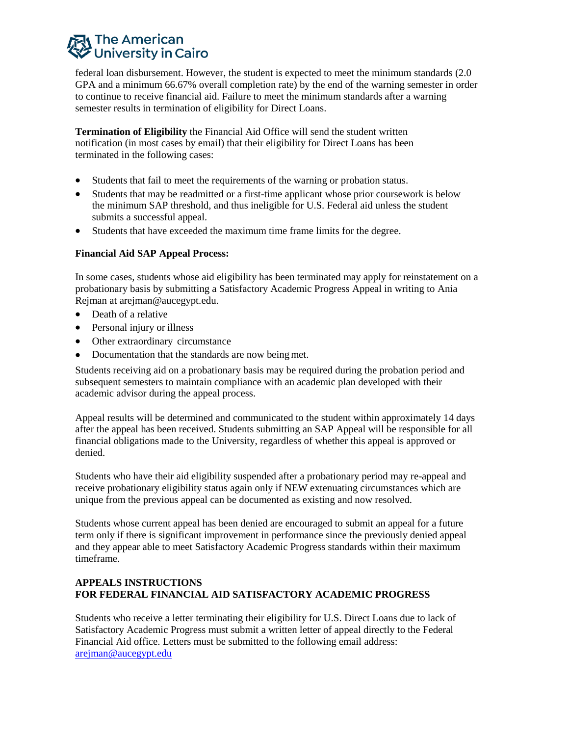# न्। The American University in Cairo

federal loan disbursement. However, the student is expected to meet the minimum standards (2.0 GPA and a minimum 66.67% overall completion rate) by the end of the warning semester in order to continue to receive financial aid. Failure to meet the minimum standards after a warning semester results in termination of eligibility for Direct Loans.

**Termination of Eligibility** the Financial Aid Office will send the student written notification (in most cases by email) that their eligibility for Direct Loans has been terminated in the following cases:

- Students that fail to meet the requirements of the warning or probation status.
- Students that may be readmitted or a first-time applicant whose prior coursework is below the minimum SAP threshold, and thus ineligible for U.S. Federal aid unless the student submits a successful appeal.
- Students that have exceeded the maximum time frame limits for the degree.

# **Financial Aid SAP Appeal Process:**

In some cases, students whose aid eligibility has been terminated may apply for reinstatement on a probationary basis by submitting a Satisfactory Academic Progress Appeal in writing to Ania Rejman at arejman@aucegypt.edu.

- Death of a relative
- Personal injury or illness
- Other extraordinary circumstance
- Documentation that the standards are now being met.

Students receiving aid on a probationary basis may be required during the probation period and subsequent semesters to maintain compliance with an academic plan developed with their academic advisor during the appeal process.

Appeal results will be determined and communicated to the student within approximately 14 days after the appeal has been received. Students submitting an SAP Appeal will be responsible for all financial obligations made to the University, regardless of whether this appeal is approved or denied.

Students who have their aid eligibility suspended after a probationary period may re-appeal and receive probationary eligibility status again only if NEW extenuating circumstances which are unique from the previous appeal can be documented as existing and now resolved.

Students whose current appeal has been denied are encouraged to submit an appeal for a future term only if there is significant improvement in performance since the previously denied appeal and they appear able to meet Satisfactory Academic Progress standards within their maximum timeframe.

## **APPEALS INSTRUCTIONS FOR FEDERAL FINANCIAL AID SATISFACTORY ACADEMIC PROGRESS**

Students who receive a letter terminating their eligibility for U.S. Direct Loans due to lack of Satisfactory Academic Progress must submit a written letter of appeal directly to the Federal Financial Aid office. Letters must be submitted to the following email address: arejman@aucegypt.edu